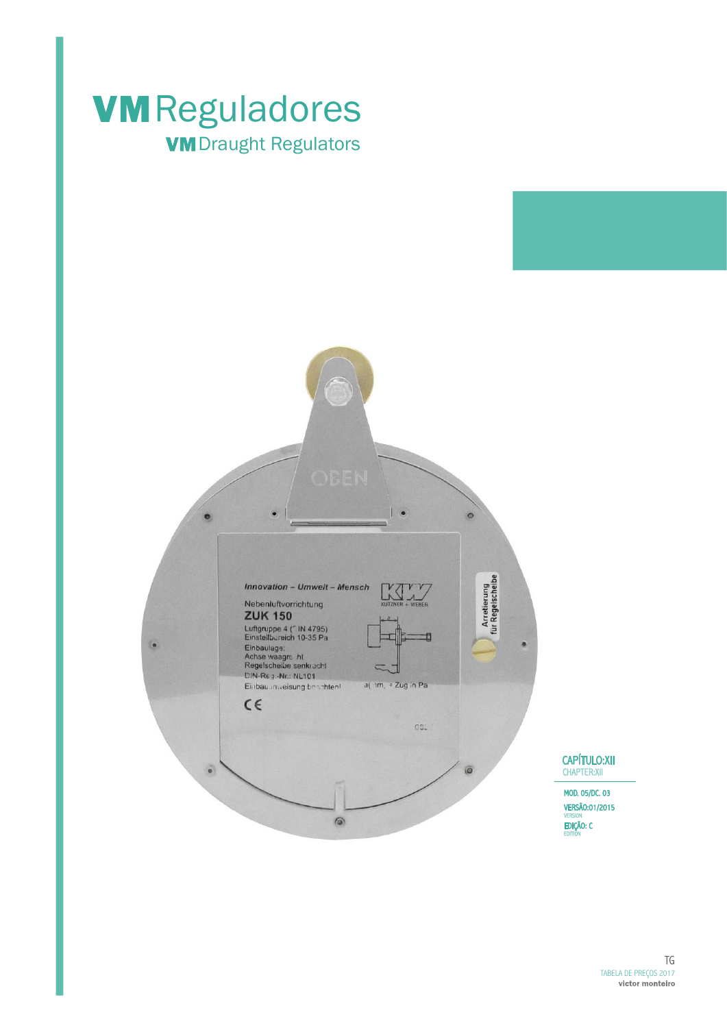

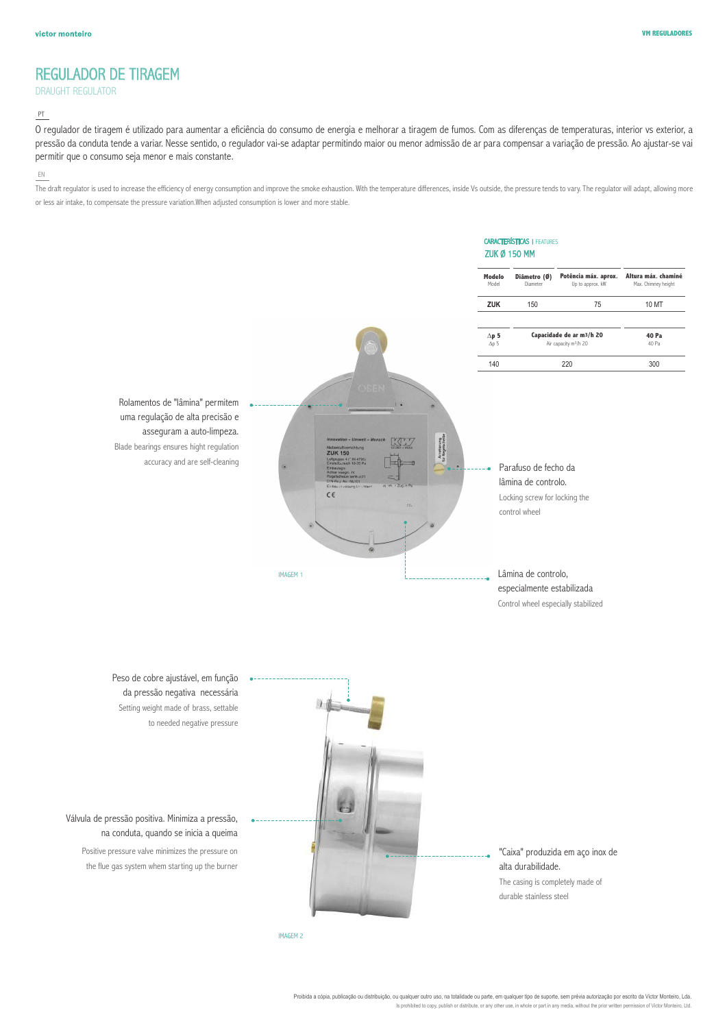## REGULADOR DE TIRAGEM

## DRAUGHT REGULATOR

## PT

O regulador de tiragem é utilizado para aumentar a eficiência do consumo de energia e melhorar a tiragem de fumos. Com as diferenças de temperaturas, interior vs exterior, a pressão da conduta tende a variar. Nesse sentido, o regulador vai-se adaptar permitindo maior ou menor admissão de ar para compensar a variação de pressão. Ao ajustar-se vai permitir que o consumo seja menor e mais constante.

## EN

The draft requlator is used to increase the efficiency of energy consumption and improve the smoke exhaustion. With the temperature differences, inside Vs outside, the pressure tends to vary. The requlator will adapt, allo or less air intake, to compensate the pressure variation.When adjusted consumption is lower and more stable.



Proibida a cópia, publicação ou distribuição, ou qualquer outro uso, na totalidade ou parte, em qualquer tipo de suporte, sem prévia autorização por escrito da Victor Monteiro, Lda. Is prohibited to copy, publish or distribute, or any other use, in whole or part in any media, without the prior written permission of Victor Monteiro, Ltd.